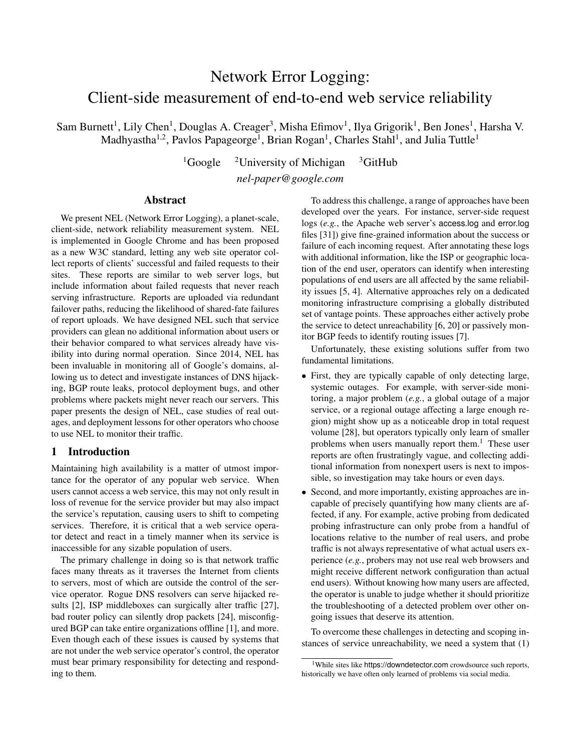# Network Error Logging: Client-side measurement of end-to-end web service reliability

Sam Burnett<sup>1</sup>, Lily Chen<sup>1</sup>, Douglas A. Creager<sup>3</sup>, Misha Efimov<sup>1</sup>, Ilya Grigorik<sup>1</sup>, Ben Jones<sup>1</sup>, Harsha V. Madhyastha<sup>1,2</sup>, Pavlos Papageorge<sup>1</sup>, Brian Rogan<sup>1</sup>, Charles Stahl<sup>1</sup>, and Julia Tuttle<sup>1</sup>

> <sup>1</sup>Google <sup>2</sup>University of Michigan <sup>3</sup>GitHub *nel-paper@google.com*

## Abstract

We present NEL (Network Error Logging), a planet-scale, client-side, network reliability measurement system. NEL is implemented in Google Chrome and has been proposed as a new W3C standard, letting any web site operator collect reports of clients' successful and failed requests to their sites. These reports are similar to web server logs, but include information about failed requests that never reach serving infrastructure. Reports are uploaded via redundant failover paths, reducing the likelihood of shared-fate failures of report uploads. We have designed NEL such that service providers can glean no additional information about users or their behavior compared to what services already have visibility into during normal operation. Since 2014, NEL has been invaluable in monitoring all of Google's domains, allowing us to detect and investigate instances of DNS hijacking, BGP route leaks, protocol deployment bugs, and other problems where packets might never reach our servers. This paper presents the design of NEL, case studies of real outages, and deployment lessons for other operators who choose to use NEL to monitor their traffic.

# 1 Introduction

Maintaining high availability is a matter of utmost importance for the operator of any popular web service. When users cannot access a web service, this may not only result in loss of revenue for the service provider but may also impact the service's reputation, causing users to shift to competing services. Therefore, it is critical that a web service operator detect and react in a timely manner when its service is inaccessible for any sizable population of users.

The primary challenge in doing so is that network traffic faces many threats as it traverses the Internet from clients to servers, most of which are outside the control of the service operator. Rogue DNS resolvers can serve hijacked results [2], ISP middleboxes can surgically alter traffic [27], bad router policy can silently drop packets [24], misconfigured BGP can take entire organizations offline [1], and more. Even though each of these issues is caused by systems that are not under the web service operator's control, the operator must bear primary responsibility for detecting and responding to them.

To address this challenge, a range of approaches have been developed over the years. For instance, server-side request logs (*e.g.*, the Apache web server's access.log and error.log files [31]) give fine-grained information about the success or failure of each incoming request. After annotating these logs with additional information, like the ISP or geographic location of the end user, operators can identify when interesting populations of end users are all affected by the same reliability issues [5, 4]. Alternative approaches rely on a dedicated monitoring infrastructure comprising a globally distributed set of vantage points. These approaches either actively probe the service to detect unreachability [6, 20] or passively monitor BGP feeds to identify routing issues [7].

Unfortunately, these existing solutions suffer from two fundamental limitations.

- *•* First, they are typically capable of only detecting large, systemic outages. For example, with server-side monitoring, a major problem (*e.g.*, a global outage of a major service, or a regional outage affecting a large enough region) might show up as a noticeable drop in total request volume [28], but operators typically only learn of smaller problems when users manually report them.<sup>1</sup> These user reports are often frustratingly vague, and collecting additional information from nonexpert users is next to impossible, so investigation may take hours or even days.
- Second, and more importantly, existing approaches are incapable of precisely quantifying how many clients are affected, if any. For example, active probing from dedicated probing infrastructure can only probe from a handful of locations relative to the number of real users, and probe traffic is not always representative of what actual users experience (*e.g.*, probers may not use real web browsers and might receive different network configuration than actual end users). Without knowing how many users are affected, the operator is unable to judge whether it should prioritize the troubleshooting of a detected problem over other ongoing issues that deserve its attention.

To overcome these challenges in detecting and scoping instances of service unreachability, we need a system that (1)

<sup>&</sup>lt;sup>1</sup>While sites like https://downdetector.com crowdsource such reports, historically we have often only learned of problems via social media.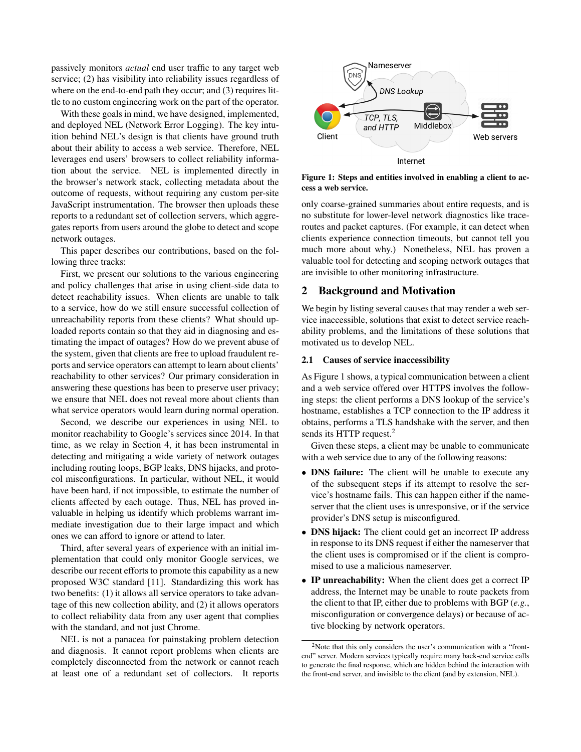passively monitors *actual* end user traffic to any target web service; (2) has visibility into reliability issues regardless of where on the end-to-end path they occur; and (3) requires little to no custom engineering work on the part of the operator.

With these goals in mind, we have designed, implemented, and deployed NEL (Network Error Logging). The key intuition behind NEL's design is that clients have ground truth about their ability to access a web service. Therefore, NEL leverages end users' browsers to collect reliability information about the service. NEL is implemented directly in the browser's network stack, collecting metadata about the outcome of requests, without requiring any custom per-site JavaScript instrumentation. The browser then uploads these reports to a redundant set of collection servers, which aggregates reports from users around the globe to detect and scope network outages.

This paper describes our contributions, based on the following three tracks:

First, we present our solutions to the various engineering and policy challenges that arise in using client-side data to detect reachability issues. When clients are unable to talk to a service, how do we still ensure successful collection of unreachability reports from these clients? What should uploaded reports contain so that they aid in diagnosing and estimating the impact of outages? How do we prevent abuse of the system, given that clients are free to upload fraudulent reports and service operators can attempt to learn about clients' reachability to other services? Our primary consideration in answering these questions has been to preserve user privacy; we ensure that NEL does not reveal more about clients than what service operators would learn during normal operation.

Second, we describe our experiences in using NEL to monitor reachability to Google's services since 2014. In that time, as we relay in Section 4, it has been instrumental in detecting and mitigating a wide variety of network outages including routing loops, BGP leaks, DNS hijacks, and protocol misconfigurations. In particular, without NEL, it would have been hard, if not impossible, to estimate the number of clients affected by each outage. Thus, NEL has proved invaluable in helping us identify which problems warrant immediate investigation due to their large impact and which ones we can afford to ignore or attend to later.

Third, after several years of experience with an initial implementation that could only monitor Google services, we describe our recent efforts to promote this capability as a new proposed W3C standard [11]. Standardizing this work has two benefits: (1) it allows all service operators to take advantage of this new collection ability, and (2) it allows operators to collect reliability data from any user agent that complies with the standard, and not just Chrome.

NEL is not a panacea for painstaking problem detection and diagnosis. It cannot report problems when clients are completely disconnected from the network or cannot reach at least one of a redundant set of collectors. It reports



Figure 1: Steps and entities involved in enabling a client to access a web service.

only coarse-grained summaries about entire requests, and is no substitute for lower-level network diagnostics like traceroutes and packet captures. (For example, it can detect when clients experience connection timeouts, but cannot tell you much more about why.) Nonetheless, NEL has proven a valuable tool for detecting and scoping network outages that are invisible to other monitoring infrastructure.

## 2 Background and Motivation

We begin by listing several causes that may render a web service inaccessible, solutions that exist to detect service reachability problems, and the limitations of these solutions that motivated us to develop NEL.

#### 2.1 Causes of service inaccessibility

As Figure 1 shows, a typical communication between a client and a web service offered over HTTPS involves the following steps: the client performs a DNS lookup of the service's hostname, establishes a TCP connection to the IP address it obtains, performs a TLS handshake with the server, and then sends its HTTP request.<sup>2</sup>

Given these steps, a client may be unable to communicate with a web service due to any of the following reasons:

- DNS failure: The client will be unable to execute any of the subsequent steps if its attempt to resolve the service's hostname fails. This can happen either if the nameserver that the client uses is unresponsive, or if the service provider's DNS setup is misconfigured.
- DNS hijack: The client could get an incorrect IP address in response to its DNS request if either the nameserver that the client uses is compromised or if the client is compromised to use a malicious nameserver.
- IP unreachability: When the client does get a correct IP address, the Internet may be unable to route packets from the client to that IP, either due to problems with BGP (*e.g.*, misconfiguration or convergence delays) or because of active blocking by network operators.

 $2$ Note that this only considers the user's communication with a "frontend" server. Modern services typically require many back-end service calls to generate the final response, which are hidden behind the interaction with the front-end server, and invisible to the client (and by extension, NEL).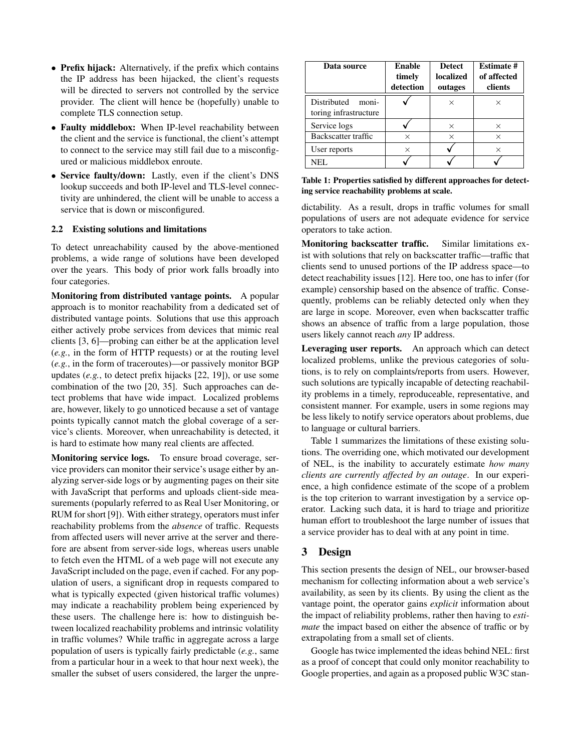- Prefix hijack: Alternatively, if the prefix which contains the IP address has been hijacked, the client's requests will be directed to servers not controlled by the service provider. The client will hence be (hopefully) unable to complete TLS connection setup.
- Faulty middlebox: When IP-level reachability between the client and the service is functional, the client's attempt to connect to the service may still fail due to a misconfigured or malicious middlebox enroute.
- Service faulty/down: Lastly, even if the client's DNS lookup succeeds and both IP-level and TLS-level connectivity are unhindered, the client will be unable to access a service that is down or misconfigured.

## 2.2 Existing solutions and limitations

To detect unreachability caused by the above-mentioned problems, a wide range of solutions have been developed over the years. This body of prior work falls broadly into four categories.

Monitoring from distributed vantage points. A popular approach is to monitor reachability from a dedicated set of distributed vantage points. Solutions that use this approach either actively probe services from devices that mimic real clients [3, 6]—probing can either be at the application level (*e.g.*, in the form of HTTP requests) or at the routing level (*e.g.*, in the form of traceroutes)—or passively monitor BGP updates (*e.g.*, to detect prefix hijacks [22, 19]), or use some combination of the two [20, 35]. Such approaches can detect problems that have wide impact. Localized problems are, however, likely to go unnoticed because a set of vantage points typically cannot match the global coverage of a service's clients. Moreover, when unreachability is detected, it is hard to estimate how many real clients are affected.

Monitoring service logs. To ensure broad coverage, service providers can monitor their service's usage either by analyzing server-side logs or by augmenting pages on their site with JavaScript that performs and uploads client-side measurements (popularly referred to as Real User Monitoring, or RUM for short [9]). With either strategy, operators must infer reachability problems from the *absence* of traffic. Requests from affected users will never arrive at the server and therefore are absent from server-side logs, whereas users unable to fetch even the HTML of a web page will not execute any JavaScript included on the page, even if cached. For any population of users, a significant drop in requests compared to what is typically expected (given historical traffic volumes) may indicate a reachability problem being experienced by these users. The challenge here is: how to distinguish between localized reachability problems and intrinsic volatility in traffic volumes? While traffic in aggregate across a large population of users is typically fairly predictable (*e.g.*, same from a particular hour in a week to that hour next week), the smaller the subset of users considered, the larger the unpre-

| Data source                                   | Enable<br>timely<br>detection | Detect<br>localized<br>outages | <b>Estimate #</b><br>of affected<br>clients |
|-----------------------------------------------|-------------------------------|--------------------------------|---------------------------------------------|
| Distributed<br>moni-<br>toring infrastructure |                               | ×                              | X                                           |
| Service logs                                  |                               | $\times$                       | $\times$                                    |
| Backscatter traffic                           | X                             | $\times$                       | $\times$                                    |
| User reports                                  | $\times$                      |                                | $\times$                                    |
| NEL.                                          |                               |                                |                                             |

Table 1: Properties satisfied by different approaches for detecting service reachability problems at scale.

dictability. As a result, drops in traffic volumes for small populations of users are not adequate evidence for service operators to take action.

Monitoring backscatter traffic. Similar limitations exist with solutions that rely on backscatter traffic—traffic that clients send to unused portions of the IP address space—to detect reachability issues [12]. Here too, one has to infer (for example) censorship based on the absence of traffic. Consequently, problems can be reliably detected only when they are large in scope. Moreover, even when backscatter traffic shows an absence of traffic from a large population, those users likely cannot reach *any* IP address.

Leveraging user reports. An approach which can detect localized problems, unlike the previous categories of solutions, is to rely on complaints/reports from users. However, such solutions are typically incapable of detecting reachability problems in a timely, reproduceable, representative, and consistent manner. For example, users in some regions may be less likely to notify service operators about problems, due to language or cultural barriers.

Table 1 summarizes the limitations of these existing solutions. The overriding one, which motivated our development of NEL, is the inability to accurately estimate *how many clients are currently affected by an outage*. In our experience, a high confidence estimate of the scope of a problem is the top criterion to warrant investigation by a service operator. Lacking such data, it is hard to triage and prioritize human effort to troubleshoot the large number of issues that a service provider has to deal with at any point in time.

# 3 Design

This section presents the design of NEL, our browser-based mechanism for collecting information about a web service's availability, as seen by its clients. By using the client as the vantage point, the operator gains *explicit* information about the impact of reliability problems, rather then having to *estimate* the impact based on either the absence of traffic or by extrapolating from a small set of clients.

Google has twice implemented the ideas behind NEL: first as a proof of concept that could only monitor reachability to Google properties, and again as a proposed public W3C stan-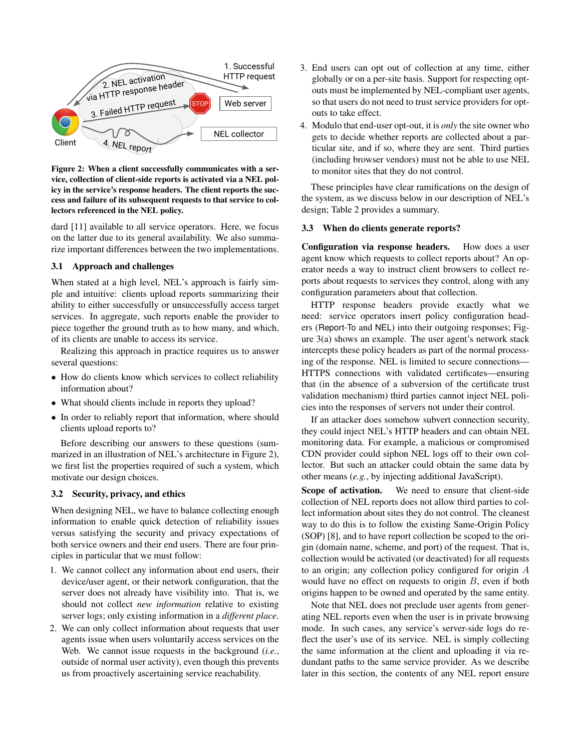

icy in the service's response headers. The client reports the suc-Figure 2: When a client successfully communicates with a service, collection of client-side reports is activated via a NEL polcess and failure of its subsequent requests to that service to collectors referenced in the NEL policy.

dard [11] available to all service operators. Here, we focus on the latter due to its general availability. We also summarize important differences between the two implementations.

## 3.1 Approach and challenges

When stated at a high level, NEL's approach is fairly simple and intuitive: clients upload reports summarizing their ability to either successfully or unsuccessfully access target services. In aggregate, such reports enable the provider to piece together the ground truth as to how many, and which, of its clients are unable to access its service.

Realizing this approach in practice requires us to answer several questions:

- How do clients know which services to collect reliability information about?
- What should clients include in reports they upload?
- *•* In order to reliably report that information, where should clients upload reports to?

Before describing our answers to these questions (summarized in an illustration of NEL's architecture in Figure 2), we first list the properties required of such a system, which motivate our design choices.

#### 3.2 Security, privacy, and ethics

When designing NEL, we have to balance collecting enough information to enable quick detection of reliability issues versus satisfying the security and privacy expectations of both service owners and their end users. There are four principles in particular that we must follow:

- 1. We cannot collect any information about end users, their device/user agent, or their network configuration, that the server does not already have visibility into. That is, we should not collect *new information* relative to existing server logs; only existing information in a *different place*.
- 2. We can only collect information about requests that user agents issue when users voluntarily access services on the Web. We cannot issue requests in the background (*i.e.*, outside of normal user activity), even though this prevents us from proactively ascertaining service reachability.
- 3. End users can opt out of collection at any time, either globally or on a per-site basis. Support for respecting optouts must be implemented by NEL-compliant user agents, so that users do not need to trust service providers for optouts to take effect.
- 4. Modulo that end-user opt-out, it is *only* the site owner who gets to decide whether reports are collected about a particular site, and if so, where they are sent. Third parties (including browser vendors) must not be able to use NEL to monitor sites that they do not control.

These principles have clear ramifications on the design of the system, as we discuss below in our description of NEL's design; Table 2 provides a summary.

#### 3.3 When do clients generate reports?

Configuration via response headers. How does a user agent know which requests to collect reports about? An operator needs a way to instruct client browsers to collect reports about requests to services they control, along with any configuration parameters about that collection.

HTTP response headers provide exactly what we need: service operators insert policy configuration headers (Report-To and NEL) into their outgoing responses; Figure 3(a) shows an example. The user agent's network stack intercepts these policy headers as part of the normal processing of the response. NEL is limited to secure connections— HTTPS connections with validated certificates—ensuring that (in the absence of a subversion of the certificate trust validation mechanism) third parties cannot inject NEL policies into the responses of servers not under their control.

If an attacker does somehow subvert connection security, they could inject NEL's HTTP headers and can obtain NEL monitoring data. For example, a malicious or compromised CDN provider could siphon NEL logs off to their own collector. But such an attacker could obtain the same data by other means (*e.g.*, by injecting additional JavaScript).

Scope of activation. We need to ensure that client-side collection of NEL reports does not allow third parties to collect information about sites they do not control. The cleanest way to do this is to follow the existing Same-Origin Policy (SOP) [8], and to have report collection be scoped to the origin (domain name, scheme, and port) of the request. That is, collection would be activated (or deactivated) for all requests to an origin; any collection policy configured for origin *A* would have no effect on requests to origin *B*, even if both origins happen to be owned and operated by the same entity.

Note that NEL does not preclude user agents from generating NEL reports even when the user is in private browsing mode. In such cases, any service's server-side logs do reflect the user's use of its service. NEL is simply collecting the same information at the client and uploading it via redundant paths to the same service provider. As we describe later in this section, the contents of any NEL report ensure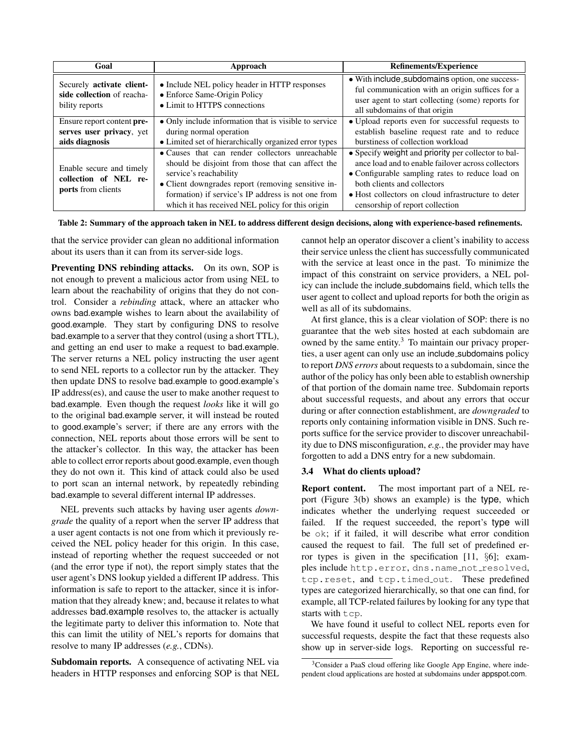| Goal                                                                      | Approach                                                                                                                                                                                                                                                                                       | <b>Refinements/Experience</b>                                                                                                                                                                                                                                                        |  |  |  |  |  |
|---------------------------------------------------------------------------|------------------------------------------------------------------------------------------------------------------------------------------------------------------------------------------------------------------------------------------------------------------------------------------------|--------------------------------------------------------------------------------------------------------------------------------------------------------------------------------------------------------------------------------------------------------------------------------------|--|--|--|--|--|
| Securely activate client-<br>side collection of reacha-<br>bility reports | • Include NEL policy header in HTTP responses<br>• Enforce Same-Origin Policy<br>• Limit to HTTPS connections                                                                                                                                                                                  | • With include_subdomains option, one success-<br>ful communication with an origin suffices for a<br>user agent to start collecting (some) reports for<br>all subdomains of that origin                                                                                              |  |  |  |  |  |
| Ensure report content pre-<br>serves user privacy, yet<br>aids diagnosis  | • Only include information that is visible to service<br>during normal operation<br>• Limited set of hierarchically organized error types                                                                                                                                                      | • Upload reports even for successful requests to<br>establish baseline request rate and to reduce<br>burstiness of collection workload                                                                                                                                               |  |  |  |  |  |
| Enable secure and timely<br>collection of NEL re-<br>ports from clients   | • Causes that can render collectors unreachable<br>should be disjoint from those that can affect the<br>service's reachability<br>• Client downgrades report (removing sensitive in-<br>formation) if service's IP address is not one from<br>which it has received NEL policy for this origin | • Specify weight and priority per collector to bal-<br>ance load and to enable failover across collectors<br>• Configurable sampling rates to reduce load on<br>both clients and collectors<br>• Host collectors on cloud infrastructure to deter<br>censorship of report collection |  |  |  |  |  |

Table 2: Summary of the approach taken in NEL to address different design decisions, along with experience-based refinements.

that the service provider can glean no additional information about its users than it can from its server-side logs.

Preventing DNS rebinding attacks. On its own, SOP is not enough to prevent a malicious actor from using NEL to learn about the reachability of origins that they do not control. Consider a *rebinding* attack, where an attacker who owns bad.example wishes to learn about the availability of good.example. They start by configuring DNS to resolve bad.example to a server that they control (using a short TTL), and getting an end user to make a request to bad.example. The server returns a NEL policy instructing the user agent to send NEL reports to a collector run by the attacker. They then update DNS to resolve bad.example to good.example's IP address(es), and cause the user to make another request to bad.example. Even though the request *looks* like it will go to the original bad.example server, it will instead be routed to good.example's server; if there are any errors with the connection, NEL reports about those errors will be sent to the attacker's collector. In this way, the attacker has been able to collect error reports about good.example, even though they do not own it. This kind of attack could also be used to port scan an internal network, by repeatedly rebinding bad.example to several different internal IP addresses.

NEL prevents such attacks by having user agents *downgrade* the quality of a report when the server IP address that a user agent contacts is not one from which it previously received the NEL policy header for this origin. In this case, instead of reporting whether the request succeeded or not (and the error type if not), the report simply states that the user agent's DNS lookup yielded a different IP address. This information is safe to report to the attacker, since it is information that they already knew; and, because it relates to what addresses bad.example resolves to, the attacker is actually the legitimate party to deliver this information to. Note that this can limit the utility of NEL's reports for domains that resolve to many IP addresses (*e.g.*, CDNs).

Subdomain reports. A consequence of activating NEL via headers in HTTP responses and enforcing SOP is that NEL

cannot help an operator discover a client's inability to access their service unless the client has successfully communicated with the service at least once in the past. To minimize the impact of this constraint on service providers, a NEL policy can include the include subdomains field, which tells the user agent to collect and upload reports for both the origin as well as all of its subdomains.

At first glance, this is a clear violation of SOP: there is no guarantee that the web sites hosted at each subdomain are owned by the same entity.<sup>3</sup> To maintain our privacy properties, a user agent can only use an include subdomains policy to report *DNS errors* about requests to a subdomain, since the author of the policy has only been able to establish ownership of that portion of the domain name tree. Subdomain reports about successful requests, and about any errors that occur during or after connection establishment, are *downgraded* to reports only containing information visible in DNS. Such reports suffice for the service provider to discover unreachability due to DNS misconfiguration, *e.g.*, the provider may have forgotten to add a DNS entry for a new subdomain.

## 3.4 What do clients upload?

Report content. The most important part of a NEL report (Figure 3(b) shows an example) is the type, which indicates whether the underlying request succeeded or failed. If the request succeeded, the report's type will be ok; if it failed, it will describe what error condition caused the request to fail. The full set of predefined error types is given in the specification [11, *§*6]; examples include http.error, dns.name\_not\_resolved, tcp.reset, and tcp.timed\_out. These predefined types are categorized hierarchically, so that one can find, for example, all TCP-related failures by looking for any type that starts with tcp.

We have found it useful to collect NEL reports even for successful requests, despite the fact that these requests also show up in server-side logs. Reporting on successful re-

<sup>3</sup>Consider a PaaS cloud offering like Google App Engine, where independent cloud applications are hosted at subdomains under appspot.com.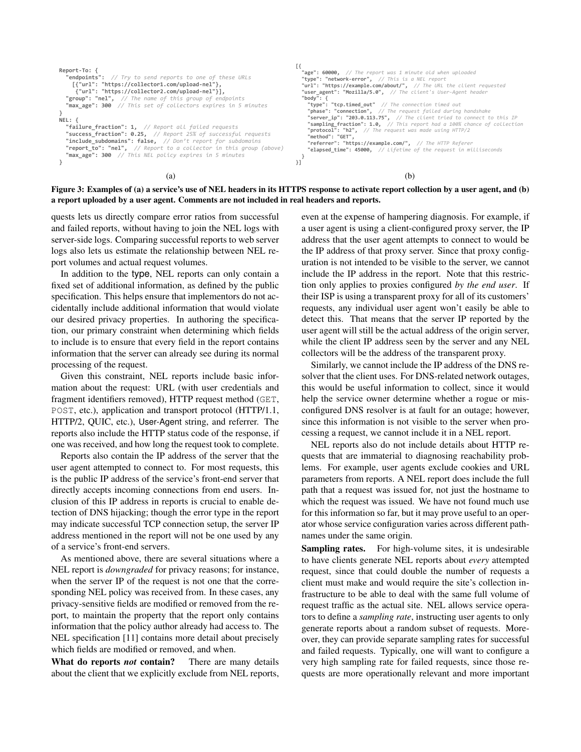```
Report-To: {<br>"endpoints":
                      // Try to send reports to one of these URLs
 [{"url": "https://collector1.com/upload-nel"},
 {"url": "https://collector2.com/upload-nel"}],
    "group": "nel", // The name of this group of endpoints
    max_age": 300 // This set of collectors expires in 5 minutes
}
NEL: {
   "failure_fraction": 1, // Report all failed requests
    "success_fraction": 0.25, // Report 25% of successful requests
 "include_subdomains": false, // Don't report for subdomains
 "report_to": "nel", // Report to a collector in this group (above)
    "max_age": 300 // This NEL policy expires in 5 minutes
}
                                                                                                         [{<br>"age": 60000, // The report was 1 minute old when uploaded<br>"type": "network-error", // This is a NEL report
                                                                                                          "url": "https://example.com/about/", // The URL the client requested
 "user_agent": "Mozilla/5.0", // The client's User-Agent header
                                                                                                            } body": {<br>!"type":
                                                                                                                       "tcp.timed_out" // The connection timed out
                                                                                                         "phase": "connection", // The request failed during handshake<br>"server_ip": "203.0.113.75", // The client tried to connect to this IP<br>"sampling_fraction": 1.0, // This report had a 100% chance of collection<br>"protocol": "h2
                                                                                                         "method": "GET",<br>"referrer": "https://example.com/",  // The HTTP Referer
                                                                                                              "elapsed_time": 45000, // Lifetime of the request in milliseconds
                                                                                                          }
}]
                                               (a) (b)
```


quests lets us directly compare error ratios from successful and failed reports, without having to join the NEL logs with server-side logs. Comparing successful reports to web server logs also lets us estimate the relationship between NEL report volumes and actual request volumes.

In addition to the type, NEL reports can only contain a fixed set of additional information, as defined by the public specification. This helps ensure that implementors do not accidentally include additional information that would violate our desired privacy properties. In authoring the specification, our primary constraint when determining which fields to include is to ensure that every field in the report contains information that the server can already see during its normal processing of the request.

Given this constraint, NEL reports include basic information about the request: URL (with user credentials and fragment identifiers removed), HTTP request method (GET, POST, etc.), application and transport protocol (HTTP/1.1, HTTP/2, QUIC, etc.), User-Agent string, and referrer. The reports also include the HTTP status code of the response, if one was received, and how long the request took to complete.

Reports also contain the IP address of the server that the user agent attempted to connect to. For most requests, this is the public IP address of the service's front-end server that directly accepts incoming connections from end users. Inclusion of this IP address in reports is crucial to enable detection of DNS hijacking; though the error type in the report may indicate successful TCP connection setup, the server IP address mentioned in the report will not be one used by any of a service's front-end servers.

As mentioned above, there are several situations where a NEL report is *downgraded* for privacy reasons; for instance, when the server IP of the request is not one that the corresponding NEL policy was received from. In these cases, any privacy-sensitive fields are modified or removed from the report, to maintain the property that the report only contains information that the policy author already had access to. The NEL specification [11] contains more detail about precisely which fields are modified or removed, and when.

What do reports *not* contain? There are many details about the client that we explicitly exclude from NEL reports, even at the expense of hampering diagnosis. For example, if a user agent is using a client-configured proxy server, the IP address that the user agent attempts to connect to would be the IP address of that proxy server. Since that proxy configuration is not intended to be visible to the server, we cannot include the IP address in the report. Note that this restriction only applies to proxies configured *by the end user*. If their ISP is using a transparent proxy for all of its customers' requests, any individual user agent won't easily be able to detect this. That means that the server IP reported by the user agent will still be the actual address of the origin server, while the client IP address seen by the server and any NEL collectors will be the address of the transparent proxy.

Similarly, we cannot include the IP address of the DNS resolver that the client uses. For DNS-related network outages, this would be useful information to collect, since it would help the service owner determine whether a rogue or misconfigured DNS resolver is at fault for an outage; however, since this information is not visible to the server when processing a request, we cannot include it in a NEL report.

NEL reports also do not include details about HTTP requests that are immaterial to diagnosing reachability problems. For example, user agents exclude cookies and URL parameters from reports. A NEL report does include the full path that a request was issued for, not just the hostname to which the request was issued. We have not found much use for this information so far, but it may prove useful to an operator whose service configuration varies across different pathnames under the same origin.

Sampling rates. For high-volume sites, it is undesirable to have clients generate NEL reports about *every* attempted request, since that could double the number of requests a client must make and would require the site's collection infrastructure to be able to deal with the same full volume of request traffic as the actual site. NEL allows service operators to define a *sampling rate*, instructing user agents to only generate reports about a random subset of requests. Moreover, they can provide separate sampling rates for successful and failed requests. Typically, one will want to configure a very high sampling rate for failed requests, since those requests are more operationally relevant and more important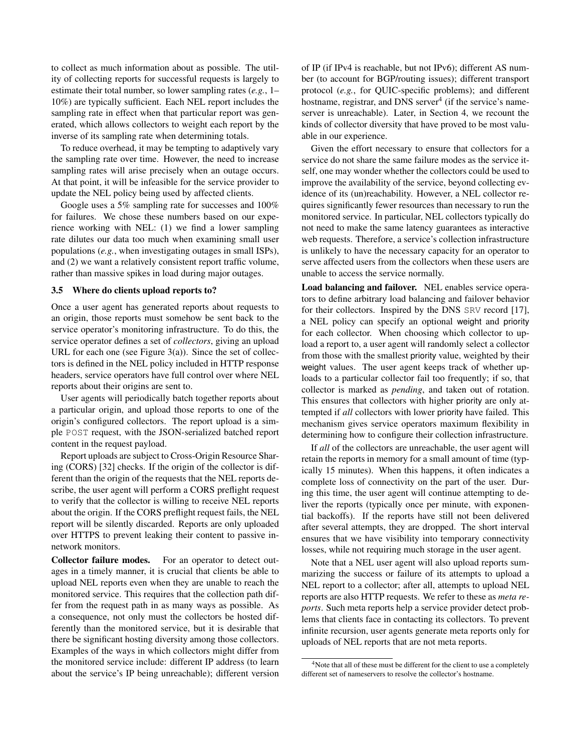to collect as much information about as possible. The utility of collecting reports for successful requests is largely to estimate their total number, so lower sampling rates (*e.g.*, 1– 10%) are typically sufficient. Each NEL report includes the sampling rate in effect when that particular report was generated, which allows collectors to weight each report by the inverse of its sampling rate when determining totals.

To reduce overhead, it may be tempting to adaptively vary the sampling rate over time. However, the need to increase sampling rates will arise precisely when an outage occurs. At that point, it will be infeasible for the service provider to update the NEL policy being used by affected clients.

Google uses a 5% sampling rate for successes and 100% for failures. We chose these numbers based on our experience working with NEL: (1) we find a lower sampling rate dilutes our data too much when examining small user populations (*e.g.*, when investigating outages in small ISPs), and (2) we want a relatively consistent report traffic volume, rather than massive spikes in load during major outages.

#### 3.5 Where do clients upload reports to?

Once a user agent has generated reports about requests to an origin, those reports must somehow be sent back to the service operator's monitoring infrastructure. To do this, the service operator defines a set of *collectors*, giving an upload URL for each one (see Figure  $3(a)$ ). Since the set of collectors is defined in the NEL policy included in HTTP response headers, service operators have full control over where NEL reports about their origins are sent to.

User agents will periodically batch together reports about a particular origin, and upload those reports to one of the origin's configured collectors. The report upload is a simple POST request, with the JSON-serialized batched report content in the request payload.

Report uploads are subject to Cross-Origin Resource Sharing (CORS) [32] checks. If the origin of the collector is different than the origin of the requests that the NEL reports describe, the user agent will perform a CORS preflight request to verify that the collector is willing to receive NEL reports about the origin. If the CORS preflight request fails, the NEL report will be silently discarded. Reports are only uploaded over HTTPS to prevent leaking their content to passive innetwork monitors.

Collector failure modes. For an operator to detect outages in a timely manner, it is crucial that clients be able to upload NEL reports even when they are unable to reach the monitored service. This requires that the collection path differ from the request path in as many ways as possible. As a consequence, not only must the collectors be hosted differently than the monitored service, but it is desirable that there be significant hosting diversity among those collectors. Examples of the ways in which collectors might differ from the monitored service include: different IP address (to learn about the service's IP being unreachable); different version of IP (if IPv4 is reachable, but not IPv6); different AS number (to account for BGP/routing issues); different transport protocol (*e.g.*, for QUIC-specific problems); and different hostname, registrar, and DNS server<sup>4</sup> (if the service's nameserver is unreachable). Later, in Section 4, we recount the kinds of collector diversity that have proved to be most valuable in our experience.

Given the effort necessary to ensure that collectors for a service do not share the same failure modes as the service itself, one may wonder whether the collectors could be used to improve the availability of the service, beyond collecting evidence of its (un)reachability. However, a NEL collector requires significantly fewer resources than necessary to run the monitored service. In particular, NEL collectors typically do not need to make the same latency guarantees as interactive web requests. Therefore, a service's collection infrastructure is unlikely to have the necessary capacity for an operator to serve affected users from the collectors when these users are unable to access the service normally.

Load balancing and failover. NEL enables service operators to define arbitrary load balancing and failover behavior for their collectors. Inspired by the DNS SRV record [17], a NEL policy can specify an optional weight and priority for each collector. When choosing which collector to upload a report to, a user agent will randomly select a collector from those with the smallest priority value, weighted by their weight values. The user agent keeps track of whether uploads to a particular collector fail too frequently; if so, that collector is marked as *pending*, and taken out of rotation. This ensures that collectors with higher priority are only attempted if *all* collectors with lower priority have failed. This mechanism gives service operators maximum flexibility in determining how to configure their collection infrastructure.

If *all* of the collectors are unreachable, the user agent will retain the reports in memory for a small amount of time (typically 15 minutes). When this happens, it often indicates a complete loss of connectivity on the part of the user. During this time, the user agent will continue attempting to deliver the reports (typically once per minute, with exponential backoffs). If the reports have still not been delivered after several attempts, they are dropped. The short interval ensures that we have visibility into temporary connectivity losses, while not requiring much storage in the user agent.

Note that a NEL user agent will also upload reports summarizing the success or failure of its attempts to upload a NEL report to a collector; after all, attempts to upload NEL reports are also HTTP requests. We refer to these as *meta reports*. Such meta reports help a service provider detect problems that clients face in contacting its collectors. To prevent infinite recursion, user agents generate meta reports only for uploads of NEL reports that are not meta reports.

<sup>&</sup>lt;sup>4</sup>Note that all of these must be different for the client to use a completely different set of nameservers to resolve the collector's hostname.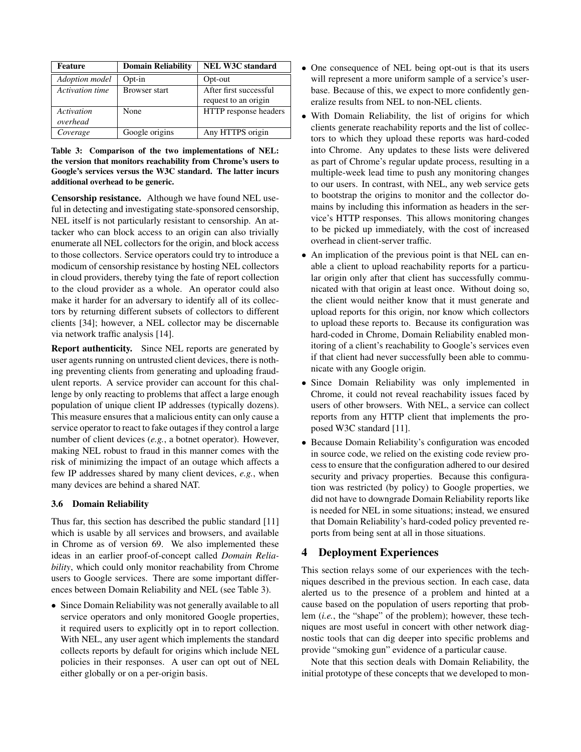| Feature         | <b>Domain Reliability</b> | <b>NEL W3C standard</b> |
|-----------------|---------------------------|-------------------------|
| Adoption model  | $Opt-in$                  | Opt-out                 |
| Activation time | <b>Browser start</b>      | After first successful  |
|                 |                           | request to an origin    |
| Activation      | <b>None</b>               | HTTP response headers   |
| overhead        |                           |                         |
| Coverage        | Google origins            | Any HTTPS origin        |

Table 3: Comparison of the two implementations of NEL: the version that monitors reachability from Chrome's users to Google's services versus the W3C standard. The latter incurs additional overhead to be generic.

Censorship resistance. Although we have found NEL useful in detecting and investigating state-sponsored censorship, NEL itself is not particularly resistant to censorship. An attacker who can block access to an origin can also trivially enumerate all NEL collectors for the origin, and block access to those collectors. Service operators could try to introduce a modicum of censorship resistance by hosting NEL collectors in cloud providers, thereby tying the fate of report collection to the cloud provider as a whole. An operator could also make it harder for an adversary to identify all of its collectors by returning different subsets of collectors to different clients [34]; however, a NEL collector may be discernable via network traffic analysis [14].

Report authenticity. Since NEL reports are generated by user agents running on untrusted client devices, there is nothing preventing clients from generating and uploading fraudulent reports. A service provider can account for this challenge by only reacting to problems that affect a large enough population of unique client IP addresses (typically dozens). This measure ensures that a malicious entity can only cause a service operator to react to fake outages if they control a large number of client devices (*e.g.*, a botnet operator). However, making NEL robust to fraud in this manner comes with the risk of minimizing the impact of an outage which affects a few IP addresses shared by many client devices, *e.g.*, when many devices are behind a shared NAT.

# 3.6 Domain Reliability

Thus far, this section has described the public standard [11] which is usable by all services and browsers, and available in Chrome as of version 69. We also implemented these ideas in an earlier proof-of-concept called *Domain Reliability*, which could only monitor reachability from Chrome users to Google services. There are some important differences between Domain Reliability and NEL (see Table 3).

*•* Since Domain Reliability was not generally available to all service operators and only monitored Google properties, it required users to explicitly opt in to report collection. With NEL, any user agent which implements the standard collects reports by default for origins which include NEL policies in their responses. A user can opt out of NEL either globally or on a per-origin basis.

- *•* One consequence of NEL being opt-out is that its users will represent a more uniform sample of a service's userbase. Because of this, we expect to more confidently generalize results from NEL to non-NEL clients.
- *•* With Domain Reliability, the list of origins for which clients generate reachability reports and the list of collectors to which they upload these reports was hard-coded into Chrome. Any updates to these lists were delivered as part of Chrome's regular update process, resulting in a multiple-week lead time to push any monitoring changes to our users. In contrast, with NEL, any web service gets to bootstrap the origins to monitor and the collector domains by including this information as headers in the service's HTTP responses. This allows monitoring changes to be picked up immediately, with the cost of increased overhead in client-server traffic.
- *•* An implication of the previous point is that NEL can enable a client to upload reachability reports for a particular origin only after that client has successfully communicated with that origin at least once. Without doing so, the client would neither know that it must generate and upload reports for this origin, nor know which collectors to upload these reports to. Because its configuration was hard-coded in Chrome, Domain Reliability enabled monitoring of a client's reachability to Google's services even if that client had never successfully been able to communicate with any Google origin.
- *•* Since Domain Reliability was only implemented in Chrome, it could not reveal reachability issues faced by users of other browsers. With NEL, a service can collect reports from any HTTP client that implements the proposed W3C standard [11].
- *•* Because Domain Reliability's configuration was encoded in source code, we relied on the existing code review process to ensure that the configuration adhered to our desired security and privacy properties. Because this configuration was restricted (by policy) to Google properties, we did not have to downgrade Domain Reliability reports like is needed for NEL in some situations; instead, we ensured that Domain Reliability's hard-coded policy prevented reports from being sent at all in those situations.

# 4 Deployment Experiences

This section relays some of our experiences with the techniques described in the previous section. In each case, data alerted us to the presence of a problem and hinted at a cause based on the population of users reporting that problem (*i.e.*, the "shape" of the problem); however, these techniques are most useful in concert with other network diagnostic tools that can dig deeper into specific problems and provide "smoking gun" evidence of a particular cause.

Note that this section deals with Domain Reliability, the initial prototype of these concepts that we developed to mon-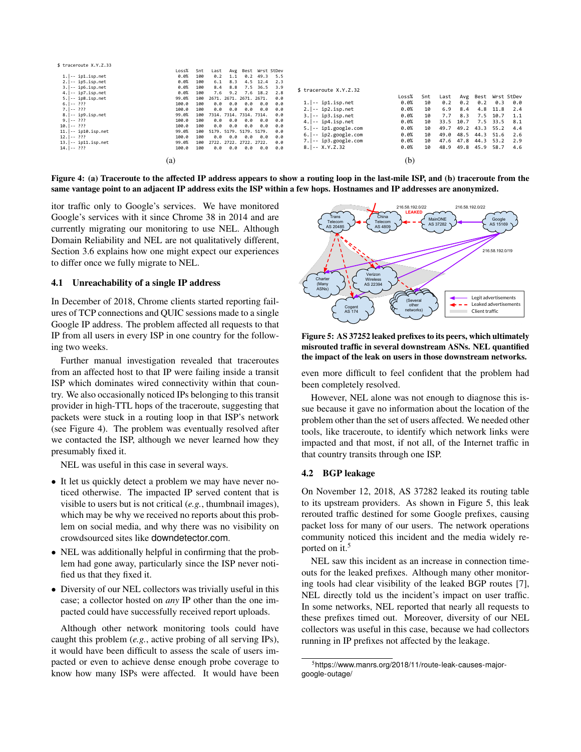| \$ traceroute X.Y.Z.33                 |       |     |                         |                 |                         |          |     |                                             |       |     |      |      |      |            |     |
|----------------------------------------|-------|-----|-------------------------|-----------------|-------------------------|----------|-----|---------------------------------------------|-------|-----|------|------|------|------------|-----|
|                                        | Loss% | Snt | Last                    |                 | Avg Best Wrst StDev     |          |     |                                             |       |     |      |      |      |            |     |
| $1. -$ ip1.isp.net                     | 0.0%  | 100 |                         | $0.2 \quad 1.1$ | 0.2                     | 49.3     | 5.5 |                                             |       |     |      |      |      |            |     |
| $2. -$ ip5.isp.net                     | 0.0%  | 100 | 6.1                     | 8.3             |                         | 4.5 12.4 | 2.3 |                                             |       |     |      |      |      |            |     |
| $3. -$ ip6.isp.net                     | 0.0%  | 100 | 8.4                     | 8.8             |                         | 7.5 36.5 | 3.9 |                                             |       |     |      |      |      |            |     |
| $4. -$ ip7.isp.net                     | 0.0%  | 100 | 7.6                     | 9.2             |                         | 7.6 18.2 | 2.8 | \$ traceroute X.Y.Z.32                      |       |     |      |      |      |            |     |
| $5.$ $\left  - - i p8.isp.net \right $ | 99.0% | 100 |                         |                 | 2671, 2671, 2671, 2671, |          | 0.0 |                                             | Loss% | Snt | Last | Avg  | Best | Wrst StDev |     |
| $6. -2??$                              | 100.0 | 100 | 0.0                     | 0.0             | 0.0                     | 0.0      | 0.0 | $1. -$ ip1.isp.net                          | 0.0%  | 10  | 0.2  | 0.2  | 0.2  | 0.3        | 0.0 |
| $7.1 - 222$                            | 100.0 | 100 | 0.0                     | 0.0             | 0.0                     | 0.0      | 0.0 | $2. -$ ip2.isp.net                          | 0.0%  | 10  | 6.9  | 8.4  | 4.8  | 11.8       | 2.4 |
| $8. -$ ip9.isp.net                     | 99.0% | 100 | 7314. 7314. 7314. 7314. |                 |                         |          | 0.0 | $3. -$ ip3.isp.net                          | 0.0%  | 10  | 7.7  | 8.3  | 7.5  | 10.7       | 1.1 |
| $9. -???$                              | 100.0 | 100 |                         | $0.0 \quad 0.0$ | 0.0                     | 0.0      | 0.0 | $4. -$ ip4.isp.net                          | 0.0%  | 10  | 33.5 | 10.7 | 7.5  | 33.5       | 8.1 |
| $10. -???$                             | 100.0 | 100 | 0.0                     | 0.0             | 0.0                     | 0.0      | 0.0 | $5.$ $\left  \cdots \right $ ip1.google.com | 0.0%  | 10  | 49.7 | 49.2 | 43.3 | 55.2       | 4.4 |
| $11. -$ ip10.isp.net                   | 99.0% | 100 | 5179, 5179, 5179, 5179, |                 |                         |          | 0.0 |                                             |       |     |      |      |      |            |     |
| $12. -???$                             | 100.0 | 100 | 0.0                     | 0.0             | 0.0                     | 0.0      | 0.0 | $6.$ $\left  \cdots \right $ ip2.google.com | 0.0%  | 10  | 49.0 | 48.5 | 44.3 | 51.6       | 2.6 |
| $13. -$ ip11.isp.net                   | 99.0% | 100 |                         |                 | 2722. 2722. 2722. 2722. |          | 0.0 | $7. -$ ip3.google.com                       | 0.0%  | 10  | 47.6 | 47.8 | 44.3 | 53.2       | 2.9 |
| $14. -$ ???                            | 100.0 | 100 | 0.0                     | 0.0             | 0.0                     | 0.0      | 0.0 | $8. -X.Y.Z.32$                              | 0.0%  | 10  | 48.9 | 49.8 | 45.9 | 58.7       | 4.6 |
|                                        | (a)   |     |                         |                 |                         |          |     |                                             | (b)   |     |      |      |      |            |     |
|                                        |       |     |                         |                 |                         |          |     |                                             |       |     |      |      |      |            |     |

Figure 4: (a) Traceroute to the affected IP address appears to show a routing loop in the last-mile ISP, and (b) traceroute from the same vantage point to an adjacent IP address exits the ISP within a few hops. Hostnames and IP addresses are anonymized.

itor traffic only to Google's services. We have monitored Google's services with it since Chrome 38 in 2014 and are currently migrating our monitoring to use NEL. Although Domain Reliability and NEL are not qualitatively different, Section 3.6 explains how one might expect our experiences to differ once we fully migrate to NEL.

#### 4.1 Unreachability of a single IP address

In December of 2018, Chrome clients started reporting failures of TCP connections and QUIC sessions made to a single Google IP address. The problem affected all requests to that IP from all users in every ISP in one country for the following two weeks.

Further manual investigation revealed that traceroutes from an affected host to that IP were failing inside a transit ISP which dominates wired connectivity within that country. We also occasionally noticed IPs belonging to this transit provider in high-TTL hops of the traceroute, suggesting that packets were stuck in a routing loop in that ISP's network (see Figure 4). The problem was eventually resolved after we contacted the ISP, although we never learned how they presumably fixed it.

NEL was useful in this case in several ways.

- *•* It let us quickly detect a problem we may have never noticed otherwise. The impacted IP served content that is visible to users but is not critical (*e.g.*, thumbnail images), which may be why we received no reports about this problem on social media, and why there was no visibility on crowdsourced sites like downdetector.com.
- *•* NEL was additionally helpful in confirming that the problem had gone away, particularly since the ISP never notified us that they fixed it.
- *•* Diversity of our NEL collectors was trivially useful in this case; a collector hosted on *any* IP other than the one impacted could have successfully received report uploads.

Although other network monitoring tools could have caught this problem (*e.g.*, active probing of all serving IPs), it would have been difficult to assess the scale of users impacted or even to achieve dense enough probe coverage to know how many ISPs were affected. It would have been



Figure 5: AS 37252 leaked prefixes to its peers, which ultimately misrouted traffic in several downstream ASNs. NEL quantified the impact of the leak on users in those downstream networks.

even more difficult to feel confident that the problem had been completely resolved.

However, NEL alone was not enough to diagnose this issue because it gave no information about the location of the problem other than the set of users affected. We needed other tools, like traceroute, to identify which network links were impacted and that most, if not all, of the Internet traffic in that country transits through one ISP.

#### 4.2 BGP leakage

On November 12, 2018, AS 37282 leaked its routing table to its upstream providers. As shown in Figure 5, this leak rerouted traffic destined for some Google prefixes, causing packet loss for many of our users. The network operations community noticed this incident and the media widely reported on it.<sup>5</sup>

NEL saw this incident as an increase in connection timeouts for the leaked prefixes. Although many other monitoring tools had clear visibility of the leaked BGP routes [7], NEL directly told us the incident's impact on user traffic. In some networks, NEL reported that nearly all requests to these prefixes timed out. Moreover, diversity of our NEL collectors was useful in this case, because we had collectors running in IP prefixes not affected by the leakage.

<sup>5</sup>https://www.manrs.org/2018/11/route-leak-causes-majorgoogle-outage/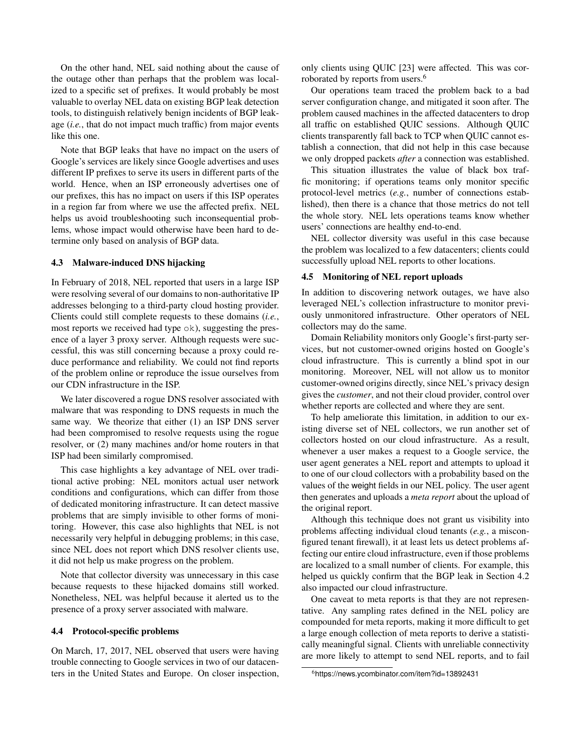On the other hand, NEL said nothing about the cause of the outage other than perhaps that the problem was localized to a specific set of prefixes. It would probably be most valuable to overlay NEL data on existing BGP leak detection tools, to distinguish relatively benign incidents of BGP leakage (*i.e.*, that do not impact much traffic) from major events like this one.

Note that BGP leaks that have no impact on the users of Google's services are likely since Google advertises and uses different IP prefixes to serve its users in different parts of the world. Hence, when an ISP erroneously advertises one of our prefixes, this has no impact on users if this ISP operates in a region far from where we use the affected prefix. NEL helps us avoid troubleshooting such inconsequential problems, whose impact would otherwise have been hard to determine only based on analysis of BGP data.

## 4.3 Malware-induced DNS hijacking

In February of 2018, NEL reported that users in a large ISP were resolving several of our domains to non-authoritative IP addresses belonging to a third-party cloud hosting provider. Clients could still complete requests to these domains (*i.e.*, most reports we received had type ok), suggesting the presence of a layer 3 proxy server. Although requests were successful, this was still concerning because a proxy could reduce performance and reliability. We could not find reports of the problem online or reproduce the issue ourselves from our CDN infrastructure in the ISP.

We later discovered a rogue DNS resolver associated with malware that was responding to DNS requests in much the same way. We theorize that either (1) an ISP DNS server had been compromised to resolve requests using the rogue resolver, or (2) many machines and/or home routers in that ISP had been similarly compromised.

This case highlights a key advantage of NEL over traditional active probing: NEL monitors actual user network conditions and configurations, which can differ from those of dedicated monitoring infrastructure. It can detect massive problems that are simply invisible to other forms of monitoring. However, this case also highlights that NEL is not necessarily very helpful in debugging problems; in this case, since NEL does not report which DNS resolver clients use, it did not help us make progress on the problem.

Note that collector diversity was unnecessary in this case because requests to these hijacked domains still worked. Nonetheless, NEL was helpful because it alerted us to the presence of a proxy server associated with malware.

#### 4.4 Protocol-specific problems

On March, 17, 2017, NEL observed that users were having trouble connecting to Google services in two of our datacenters in the United States and Europe. On closer inspection, only clients using QUIC [23] were affected. This was corroborated by reports from users.6

Our operations team traced the problem back to a bad server configuration change, and mitigated it soon after. The problem caused machines in the affected datacenters to drop all traffic on established QUIC sessions. Although QUIC clients transparently fall back to TCP when QUIC cannot establish a connection, that did not help in this case because we only dropped packets *after* a connection was established.

This situation illustrates the value of black box traffic monitoring; if operations teams only monitor specific protocol-level metrics (*e.g.*, number of connections established), then there is a chance that those metrics do not tell the whole story. NEL lets operations teams know whether users' connections are healthy end-to-end.

NEL collector diversity was useful in this case because the problem was localized to a few datacenters; clients could successfully upload NEL reports to other locations.

#### 4.5 Monitoring of NEL report uploads

In addition to discovering network outages, we have also leveraged NEL's collection infrastructure to monitor previously unmonitored infrastructure. Other operators of NEL collectors may do the same.

Domain Reliability monitors only Google's first-party services, but not customer-owned origins hosted on Google's cloud infrastructure. This is currently a blind spot in our monitoring. Moreover, NEL will not allow us to monitor customer-owned origins directly, since NEL's privacy design gives the *customer*, and not their cloud provider, control over whether reports are collected and where they are sent.

To help ameliorate this limitation, in addition to our existing diverse set of NEL collectors, we run another set of collectors hosted on our cloud infrastructure. As a result, whenever a user makes a request to a Google service, the user agent generates a NEL report and attempts to upload it to one of our cloud collectors with a probability based on the values of the weight fields in our NEL policy. The user agent then generates and uploads a *meta report* about the upload of the original report.

Although this technique does not grant us visibility into problems affecting individual cloud tenants (*e.g.*, a misconfigured tenant firewall), it at least lets us detect problems affecting our entire cloud infrastructure, even if those problems are localized to a small number of clients. For example, this helped us quickly confirm that the BGP leak in Section 4.2 also impacted our cloud infrastructure.

One caveat to meta reports is that they are not representative. Any sampling rates defined in the NEL policy are compounded for meta reports, making it more difficult to get a large enough collection of meta reports to derive a statistically meaningful signal. Clients with unreliable connectivity are more likely to attempt to send NEL reports, and to fail

<sup>6</sup>https://news.ycombinator.com/item?id=13892431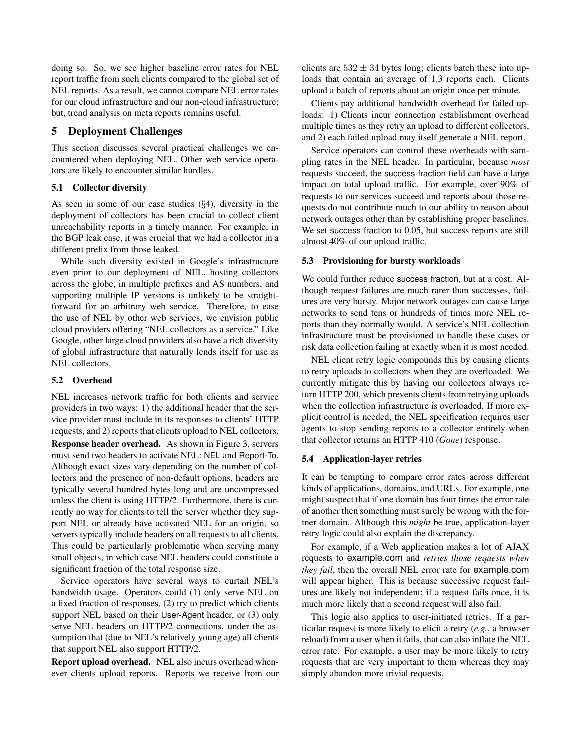doing so. So, we see higher baseline error rates for NEL report traffic from such clients compared to the global set of NEL reports. As a result, we cannot compare NEL error rates for our cloud infrastructure and our non-cloud infrastructure; but, trend analysis on meta reports remains useful.

# 5 Deployment Challenges

This section discusses several practical challenges we encountered when deploying NEL. Other web service operators are likely to encounter similar hurdles.

## 5.1 Collector diversity

As seen in some of our case studies (*§*4), diversity in the deployment of collectors has been crucial to collect client unreachability reports in a timely manner. For example, in the BGP leak case, it was crucial that we had a collector in a different prefix from those leaked.

While such diversity existed in Google's infrastructure even prior to our deployment of NEL, hosting collectors across the globe, in multiple prefixes and AS numbers, and supporting multiple IP versions is unlikely to be straightforward for an arbitrary web service. Therefore, to ease the use of NEL by other web services, we envision public cloud providers offering "NEL collectors as a service." Like Google, other large cloud providers also have a rich diversity of global infrastructure that naturally lends itself for use as NEL collectors.

## 5.2 Overhead

NEL increases network traffic for both clients and service providers in two ways: 1) the additional header that the service provider must include in its responses to clients' HTTP requests, and 2) reports that clients upload to NEL collectors.

Response header overhead. As shown in Figure 3, servers must send two headers to activate NEL: NEL and Report-To. Although exact sizes vary depending on the number of collectors and the presence of non-default options, headers are typically several hundred bytes long and are uncompressed unless the client is using HTTP/2. Furthermore, there is currently no way for clients to tell the server whether they support NEL or already have activated NEL for an origin, so servers typically include headers on all requests to all clients. This could be particularly problematic when serving many small objects, in which case NEL headers could constitute a significant fraction of the total response size.

Service operators have several ways to curtail NEL's bandwidth usage. Operators could (1) only serve NEL on a fixed fraction of responses, (2) try to predict which clients support NEL based on their User-Agent header, or (3) only serve NEL headers on HTTP/2 connections, under the assumption that (due to NEL's relatively young age) all clients that support NEL also support HTTP/2.

Report upload overhead. NEL also incurs overhead whenever clients upload reports. Reports we receive from our clients are  $532 \pm 34$  bytes long; clients batch these into uploads that contain an average of 1.3 reports each. Clients upload a batch of reports about an origin once per minute.

Clients pay additional bandwidth overhead for failed uploads: 1) Clients incur connection establishment overhead multiple times as they retry an upload to different collectors, and 2) each failed upload may itself generate a NEL report.

Service operators can control these overheads with sampling rates in the NEL header. In particular, because *most* requests succeed, the success fraction field can have a large impact on total upload traffic. For example, over 90% of requests to our services succeed and reports about those requests do not contribute much to our ability to reason about network outages other than by establishing proper baselines. We set success fraction to 0.05, but success reports are still almost 40% of our upload traffic.

## 5.3 Provisioning for bursty workloads

We could further reduce success fraction, but at a cost. Although request failures are much rarer than successes, failures are very bursty. Major network outages can cause large networks to send tens or hundreds of times more NEL reports than they normally would. A service's NEL collection infrastructure must be provisioned to handle these cases or risk data collection failing at exactly when it is most needed.

NEL client retry logic compounds this by causing clients to retry uploads to collectors when they are overloaded. We currently mitigate this by having our collectors always return HTTP 200, which prevents clients from retrying uploads when the collection infrastructure is overloaded. If more explicit control is needed, the NEL specification requires user agents to stop sending reports to a collector entirely when that collector returns an HTTP 410 (*Gone*) response.

## 5.4 Application-layer retries

It can be tempting to compare error rates across different kinds of applications, domains, and URLs. For example, one might suspect that if one domain has four times the error rate of another then something must surely be wrong with the former domain. Although this *might* be true, application-layer retry logic could also explain the discrepancy.

For example, if a Web application makes a lot of AJAX requests to example.com and *retries those requests when they fail*, then the overall NEL error rate for example.com will appear higher. This is because successive request failures are likely not independent; if a request fails once, it is much more likely that a second request will also fail.

This logic also applies to user-initiated retries. If a particular request is more likely to elicit a retry (*e.g.*, a browser reload) from a user when it fails, that can also inflate the NEL error rate. For example, a user may be more likely to retry requests that are very important to them whereas they may simply abandon more trivial requests.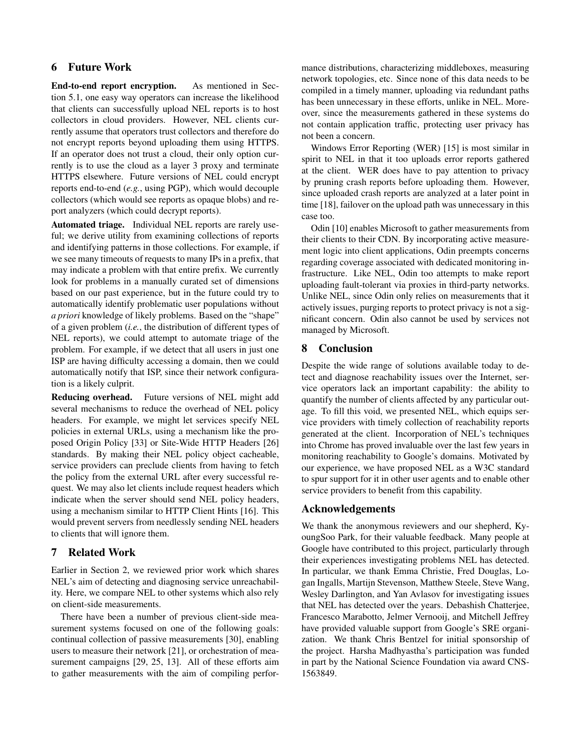# 6 Future Work

End-to-end report encryption. As mentioned in Section 5.1, one easy way operators can increase the likelihood that clients can successfully upload NEL reports is to host collectors in cloud providers. However, NEL clients currently assume that operators trust collectors and therefore do not encrypt reports beyond uploading them using HTTPS. If an operator does not trust a cloud, their only option currently is to use the cloud as a layer 3 proxy and terminate HTTPS elsewhere. Future versions of NEL could encrypt reports end-to-end (*e.g.*, using PGP), which would decouple collectors (which would see reports as opaque blobs) and report analyzers (which could decrypt reports).

Automated triage. Individual NEL reports are rarely useful; we derive utility from examining collections of reports and identifying patterns in those collections. For example, if we see many timeouts of requests to many IPs in a prefix, that may indicate a problem with that entire prefix. We currently look for problems in a manually curated set of dimensions based on our past experience, but in the future could try to automatically identify problematic user populations without *a priori* knowledge of likely problems. Based on the "shape" of a given problem (*i.e.*, the distribution of different types of NEL reports), we could attempt to automate triage of the problem. For example, if we detect that all users in just one ISP are having difficulty accessing a domain, then we could automatically notify that ISP, since their network configuration is a likely culprit.

Reducing overhead. Future versions of NEL might add several mechanisms to reduce the overhead of NEL policy headers. For example, we might let services specify NEL policies in external URLs, using a mechanism like the proposed Origin Policy [33] or Site-Wide HTTP Headers [26] standards. By making their NEL policy object cacheable, service providers can preclude clients from having to fetch the policy from the external URL after every successful request. We may also let clients include request headers which indicate when the server should send NEL policy headers, using a mechanism similar to HTTP Client Hints [16]. This would prevent servers from needlessly sending NEL headers to clients that will ignore them.

# 7 Related Work

Earlier in Section 2, we reviewed prior work which shares NEL's aim of detecting and diagnosing service unreachability. Here, we compare NEL to other systems which also rely on client-side measurements.

There have been a number of previous client-side measurement systems focused on one of the following goals: continual collection of passive measurements [30], enabling users to measure their network [21], or orchestration of measurement campaigns [29, 25, 13]. All of these efforts aim to gather measurements with the aim of compiling performance distributions, characterizing middleboxes, measuring network topologies, etc. Since none of this data needs to be compiled in a timely manner, uploading via redundant paths has been unnecessary in these efforts, unlike in NEL. Moreover, since the measurements gathered in these systems do not contain application traffic, protecting user privacy has not been a concern.

Windows Error Reporting (WER) [15] is most similar in spirit to NEL in that it too uploads error reports gathered at the client. WER does have to pay attention to privacy by pruning crash reports before uploading them. However, since uploaded crash reports are analyzed at a later point in time [18], failover on the upload path was unnecessary in this case too.

Odin [10] enables Microsoft to gather measurements from their clients to their CDN. By incorporating active measurement logic into client applications, Odin preempts concerns regarding coverage associated with dedicated monitoring infrastructure. Like NEL, Odin too attempts to make report uploading fault-tolerant via proxies in third-party networks. Unlike NEL, since Odin only relies on measurements that it actively issues, purging reports to protect privacy is not a significant concern. Odin also cannot be used by services not managed by Microsoft.

# 8 Conclusion

Despite the wide range of solutions available today to detect and diagnose reachability issues over the Internet, service operators lack an important capability: the ability to quantify the number of clients affected by any particular outage. To fill this void, we presented NEL, which equips service providers with timely collection of reachability reports generated at the client. Incorporation of NEL's techniques into Chrome has proved invaluable over the last few years in monitoring reachability to Google's domains. Motivated by our experience, we have proposed NEL as a W3C standard to spur support for it in other user agents and to enable other service providers to benefit from this capability.

# Acknowledgements

We thank the anonymous reviewers and our shepherd, KyoungSoo Park, for their valuable feedback. Many people at Google have contributed to this project, particularly through their experiences investigating problems NEL has detected. In particular, we thank Emma Christie, Fred Douglas, Logan Ingalls, Martijn Stevenson, Matthew Steele, Steve Wang, Wesley Darlington, and Yan Avlasov for investigating issues that NEL has detected over the years. Debashish Chatterjee, Francesco Marabotto, Jelmer Vernooij, and Mitchell Jeffrey have provided valuable support from Google's SRE organization. We thank Chris Bentzel for initial sponsorship of the project. Harsha Madhyastha's participation was funded in part by the National Science Foundation via award CNS-1563849.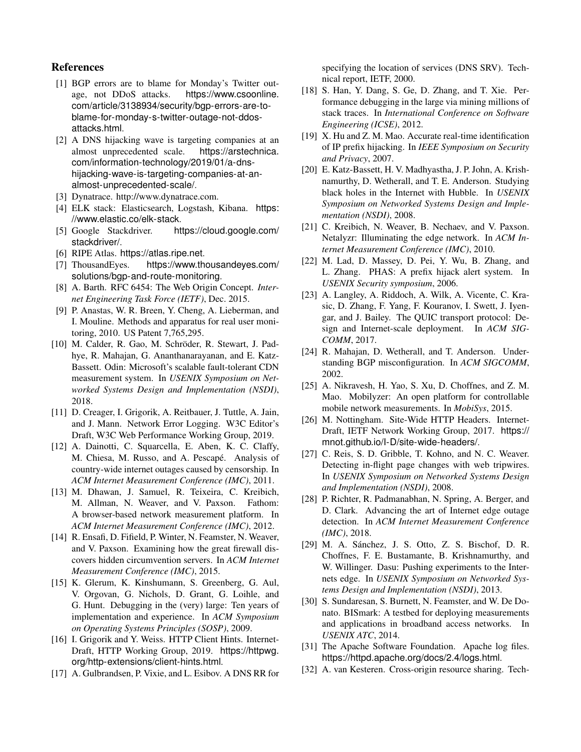# References

- [1] BGP errors are to blame for Monday's Twitter outage, not DDoS attacks. https://www.csoonline. com/article/3138934/security/bgp-errors-are-toblame-for-monday-s-twitter-outage-not-ddosattacks.html.
- [2] A DNS hijacking wave is targeting companies at an almost unprecedented scale. https://arstechnica. com/information-technology/2019/01/a-dnshijacking-wave-is-targeting-companies-at-analmost-unprecedented-scale/.
- [3] Dynatrace. http://www.dynatrace.com.
- [4] ELK stack: Elasticsearch, Logstash, Kibana. https: //www.elastic.co/elk-stack.
- [5] Google Stackdriver. https://cloud.google.com/ stackdriver/.
- [6] RIPE Atlas. https://atlas.ripe.net.
- [7] ThousandEyes. https://www.thousandeyes.com/ solutions/bgp-and-route-monitoring.
- [8] A. Barth. RFC 6454: The Web Origin Concept. *Internet Engineering Task Force (IETF)*, Dec. 2015.
- [9] P. Anastas, W. R. Breen, Y. Cheng, A. Lieberman, and I. Mouline. Methods and apparatus for real user monitoring, 2010. US Patent 7,765,295.
- [10] M. Calder, R. Gao, M. Schröder, R. Stewart, J. Padhye, R. Mahajan, G. Ananthanarayanan, and E. Katz-Bassett. Odin: Microsoft's scalable fault-tolerant CDN measurement system. In *USENIX Symposium on Networked Systems Design and Implementation (NSDI)*, 2018.
- [11] D. Creager, I. Grigorik, A. Reitbauer, J. Tuttle, A. Jain, and J. Mann. Network Error Logging. W3C Editor's Draft, W3C Web Performance Working Group, 2019.
- [12] A. Dainotti, C. Squarcella, E. Aben, K. C. Claffy, M. Chiesa, M. Russo, and A. Pescapé. Analysis of country-wide internet outages caused by censorship. In *ACM Internet Measurement Conference (IMC)*, 2011.
- [13] M. Dhawan, J. Samuel, R. Teixeira, C. Kreibich, M. Allman, N. Weaver, and V. Paxson. Fathom: A browser-based network measurement platform. In *ACM Internet Measurement Conference (IMC)*, 2012.
- [14] R. Ensafi, D. Fifield, P. Winter, N. Feamster, N. Weaver, and V. Paxson. Examining how the great firewall discovers hidden circumvention servers. In *ACM Internet Measurement Conference (IMC)*, 2015.
- [15] K. Glerum, K. Kinshumann, S. Greenberg, G. Aul, V. Orgovan, G. Nichols, D. Grant, G. Loihle, and G. Hunt. Debugging in the (very) large: Ten years of implementation and experience. In *ACM Symposium on Operating Systems Principles (SOSP)*, 2009.
- [16] I. Grigorik and Y. Weiss. HTTP Client Hints. Internet-Draft, HTTP Working Group, 2019. https://httpwg. org/http-extensions/client-hints.html.
- [17] A. Gulbrandsen, P. Vixie, and L. Esibov. A DNS RR for

specifying the location of services (DNS SRV). Technical report, IETF, 2000.

- [18] S. Han, Y. Dang, S. Ge, D. Zhang, and T. Xie. Performance debugging in the large via mining millions of stack traces. In *International Conference on Software Engineering (ICSE)*, 2012.
- [19] X. Hu and Z. M. Mao. Accurate real-time identification of IP prefix hijacking. In *IEEE Symposium on Security and Privacy*, 2007.
- [20] E. Katz-Bassett, H. V. Madhyastha, J. P. John, A. Krishnamurthy, D. Wetherall, and T. E. Anderson. Studying black holes in the Internet with Hubble. In *USENIX Symposium on Networked Systems Design and Implementation (NSDI)*, 2008.
- [21] C. Kreibich, N. Weaver, B. Nechaev, and V. Paxson. Netalyzr: Illuminating the edge network. In *ACM Internet Measurement Conference (IMC)*, 2010.
- [22] M. Lad, D. Massey, D. Pei, Y. Wu, B. Zhang, and L. Zhang. PHAS: A prefix hijack alert system. In *USENIX Security symposium*, 2006.
- [23] A. Langley, A. Riddoch, A. Wilk, A. Vicente, C. Krasic, D. Zhang, F. Yang, F. Kouranov, I. Swett, J. Iyengar, and J. Bailey. The QUIC transport protocol: Design and Internet-scale deployment. In *ACM SIG-COMM*, 2017.
- [24] R. Mahajan, D. Wetherall, and T. Anderson. Understanding BGP misconfiguration. In *ACM SIGCOMM*, 2002.
- [25] A. Nikravesh, H. Yao, S. Xu, D. Choffnes, and Z. M. Mao. Mobilyzer: An open platform for controllable mobile network measurements. In *MobiSys*, 2015.
- [26] M. Nottingham. Site-Wide HTTP Headers. Internet-Draft, IETF Network Working Group, 2017. https:// mnot.github.io/I-D/site-wide-headers/.
- [27] C. Reis, S. D. Gribble, T. Kohno, and N. C. Weaver. Detecting in-flight page changes with web tripwires. In *USENIX Symposium on Networked Systems Design and Implementation (NSDI)*, 2008.
- [28] P. Richter, R. Padmanabhan, N. Spring, A. Berger, and D. Clark. Advancing the art of Internet edge outage detection. In *ACM Internet Measurement Conference (IMC)*, 2018.
- [29] M. A. Sánchez, J. S. Otto, Z. S. Bischof, D. R. Choffnes, F. E. Bustamante, B. Krishnamurthy, and W. Willinger. Dasu: Pushing experiments to the Internets edge. In *USENIX Symposium on Networked Systems Design and Implementation (NSDI)*, 2013.
- [30] S. Sundaresan, S. Burnett, N. Feamster, and W. De Donato. BISmark: A testbed for deploying measurements and applications in broadband access networks. In *USENIX ATC*, 2014.
- [31] The Apache Software Foundation. Apache log files. https://httpd.apache.org/docs/2.4/logs.html.
- [32] A. van Kesteren. Cross-origin resource sharing. Tech-